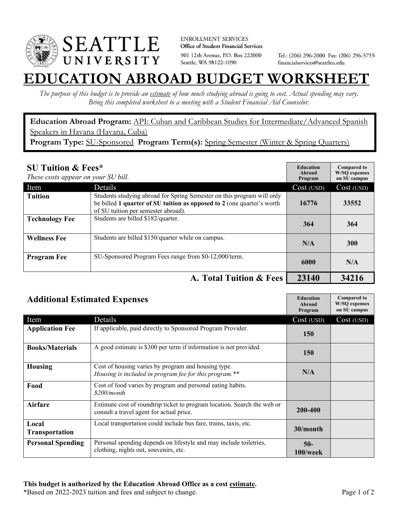

**ENROLLMENT SERVICES** Office of Student Financial Services 901 12th Avenue, P.O. Box 222000 Seattle, WA 98122-1090

Tel.: (206) 296-2000 Fax: (206) 296-5755 financialservices@seattleu.edu

## **EATION ABROAD BUDGET WORKSHEE**

*The purpose of this budget is to provide an estimate of how much studying abroad is going to cost. Actual spending may vary. Bring this completed worksheet to a meeting with a Student Financial Aid Counselor.* 

**Education Abroad Program:** API: Cuban and Caribbean Studies for Intermediate/Advanced Spanish Speakers in Havana (Havana, Cuba) **Program Type:** SU-Sponsored **Program Term(s):** Spring Semester (Winter & Spring Quarters)

| <b>SU Tuition &amp; Fees*</b><br>These costs appear on your SU bill. |                                                                                                                                                                                         | <b>Education</b><br>Abroad<br>Program | <b>Compared to</b><br><b>W/SO</b> expenses<br>on SU campus |
|----------------------------------------------------------------------|-----------------------------------------------------------------------------------------------------------------------------------------------------------------------------------------|---------------------------------------|------------------------------------------------------------|
| Item                                                                 | Details                                                                                                                                                                                 | Cost (USD)                            | Cost (USD)                                                 |
| <b>Tuition</b>                                                       | Students studying abroad for Spring Semester on this program will only<br>be billed 1 quarter of SU tuition as opposed to 2 (one quarter's worth<br>of SU tuition per semester abroad). | 16776                                 | 33552                                                      |
| <b>Technology Fee</b>                                                | Students are billed \$182/quarter.                                                                                                                                                      | 364                                   | 364                                                        |
| <b>Wellness Fee</b>                                                  | Students are billed \$150/quarter while on campus.                                                                                                                                      | N/A                                   | <b>300</b>                                                 |
| <b>Program Fee</b>                                                   | SU-Sponsored Program Fees range from \$0-12,000/term.                                                                                                                                   | 6000                                  | N/A                                                        |
|                                                                      | A. Total Tuition & Fees                                                                                                                                                                 | 23140                                 | 34216                                                      |

| <b>Additional Estimated Expenses</b> |                                                                                                                      | <b>Education</b><br>Abroad<br>Program | <b>Compared to</b><br><b>W/SQ</b> expenses<br>on SU campus |
|--------------------------------------|----------------------------------------------------------------------------------------------------------------------|---------------------------------------|------------------------------------------------------------|
| Item                                 | Details                                                                                                              | Cost (USD)                            | Cost (USD)                                                 |
| <b>Application Fee</b>               | If applicable, paid directly to Sponsored Program Provider.                                                          | <b>150</b>                            |                                                            |
| <b>Books/Materials</b>               | A good estimate is \$300 per term if information is not provided.                                                    | <b>150</b>                            |                                                            |
| <b>Housing</b>                       | Cost of housing varies by program and housing type.<br>Housing is included in program fee for this program.**        | N/A                                   |                                                            |
| Food                                 | Cost of food varies by program and personal eating habits.<br>\$200/month                                            |                                       |                                                            |
| <b>Airfare</b>                       | Estimate cost of roundtrip ticket to program location. Search the web or<br>consult a travel agent for actual price. | 200-400                               |                                                            |
| Local<br>Transportation              | Local transportation could include bus fare, trains, taxis, etc.                                                     | 30/month                              |                                                            |
| <b>Personal Spending</b>             | Personal spending depends on lifestyle and may include toiletries,<br>clothing, nights out, souvenirs, etc.          | $50-$<br>100/week                     |                                                            |